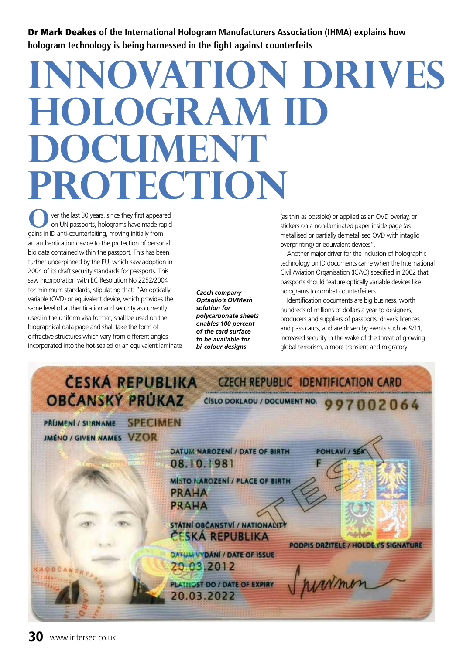Dr Mark Deakes **of the International Hologram Manufacturers Association (IHMA) explains how hologram technology is being harnessed in the fight against counterfeits** 

## **Innovation drives HOLOGRAM ID DOCUMENT protection**

 ver the last 30 years, since they first appeared on UN passports, holograms have made rapid **O** ver the last 30 years, since they first appear on UN passports, holograms have made ragains in ID anti-counterfeiting, moving initially from an authentication device to the protection of personal bio data contained within the passport. This has been further underpinned by the EU, which saw adoption in 2004 of its draft security standards for passports. This saw incorporation with EC Resolution No 2252/2004 for minimum standards, stipulating that: "An optically variable (OVD) or equivalent device, which provides the same level of authentication and security as currently used in the uniform visa format, shall be used on the biographical data page and shall take the form of diffractive structures which vary from different angles incorporated into the hot-sealed or an equivalent laminate

*Czech company Optaglio's OVMesh solution for polycarbonate sheets enables 100 percent of the card surface to be available for bi-colour designs*

(as thin as possible) or applied as an OVD overlay, or stickers on a non-laminated paper inside page (as metallised or partially demetallised OVD with intaglio overprinting) or equivalent devices".

Another major driver for the inclusion of holographic technology on ID documents came when the International Civil Aviation Organisation (ICAO) specified in 2002 that passports should feature optically variable devices like holograms to combat counterfeiters.

Identification documents are big business, worth hundreds of millions of dollars a year to designers, producers and suppliers of passports, driver's licences and pass cards, and are driven by events such as 9/11, increased security in the wake of the threat of growing global terrorism, a more transient and migratory

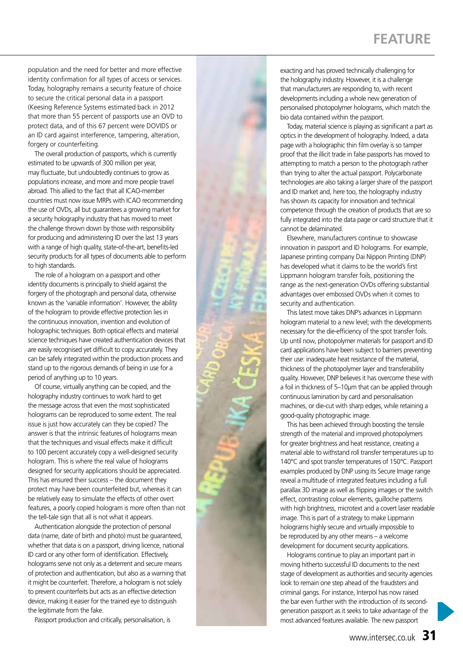## **FEATURE**

population and the need for better and more effective identity confirmation for all types of access or services. Today, holography remains a security feature of choice to secure the critical personal data in a passport (Keesing Reference Systems estimated back in 2012 that more than 55 percent of passports use an OVD to protect data, and of this 67 percent were DOVIDS or an ID card against interference, tampering, alteration, forgery or counterfeiting.

The overall production of passports, which is currently estimated to be upwards of 300 million per year, may fluctuate, but undoubtedly continues to grow as populations increase, and more and more people travel abroad. This allied to the fact that all ICAO-member countries must now issue MRPs with ICAO recommending the use of OVDs, all but guarantees a growing market for a security holography industry that has moved to meet the challenge thrown down by those with responsibility for producing and administering ID over the last 13 years with a range of high quality, state-of-the-art, benefits-led security products for all types of documents able to perform to high standards.

The role of a hologram on a passport and other identity documents is principally to shield against the forgery of the photograph and personal data, otherwise known as the 'variable information'. However, the ability of the hologram to provide effective protection lies in the continuous innovation, invention and evolution of holographic techniques. Both optical effects and material science techniques have created authentication devices that are easily recognised yet difficult to copy accurately. They can be safely integrated within the production process and stand up to the rigorous demands of being in use for a period of anything up to 10 years.

Of course, virtually anything can be copied, and the holography industry continues to work hard to get the message across that even the most sophisticated holograms can be reproduced to some extent. The real issue is just how accurately can they be copied? The answer is that the intrinsic features of holograms mean that the techniques and visual effects make it difficult to 100 percent accurately copy a well-designed security hologram. This is where the real value of holograms designed for security applications should be appreciated. This has ensured their success – the document they protect may have been counterfeited but, whereas it can be relatively easy to simulate the effects of other overt features, a poorly copied hologram is more often than not the tell-tale sign that all is not what it appears.

Authentication alongside the protection of personal data (name, date of birth and photo) must be guaranteed, whether that data is on a passport, driving licence, national ID card or any other form of identification. Effectively, holograms serve not only as a deterrent and secure means of protection and authentication, but also as a warning that it might be counterfeit. Therefore, a hologram is not solely to prevent counterfeits but acts as an effective detection device, making it easier for the trained eye to distinguish the legitimate from the fake.

Passport production and critically, personalisation, is

exacting and has proved technically challenging for the holography industry. However, it is a challenge that manufacturers are responding to, with recent developments including a whole new generation of personalised photopolymer holograms, which match the bio data contained within the passport.

Today, material science is playing as significant a part as optics in the development of holography. Indeed, a data page with a holographic thin film overlay is so tamper proof that the illicit trade in false passports has moved to attempting to match a person to the photograph rather than trying to alter the actual passport. Polycarbonate technologies are also taking a larger share of the passport and ID market and, here too, the holography industry has shown its capacity for innovation and technical competence through the creation of products that are so fully integrated into the data page or card structure that it cannot be delaminated.

Elsewhere, manufacturers continue to showcase innovation in passport and ID holograms. For example, Japanese printing company Dai Nippon Printing (DNP) has developed what it claims to be the world's first Lippmann hologram transfer foils, positioning the range as the next-generation OVDs offering substantial advantages over embossed OVDs when it comes to security and authentication.

This latest move takes DNP's advances in Lippmann hologram material to a new level; with the developments necessary for the die-efficiency of the spot transfer foils. Up until now, photopolymer materials for passport and ID card applications have been subject to barriers preventing their use: inadequate heat resistance of the material, thickness of the photopolymer layer and transferability quality. However, DNP believes it has overcome these with a foil in thickness of 5–10µm that can be applied through continuous lamination by card and personalisation machines, or die-cut with sharp edges, while retaining a good-quality photographic image.

This has been achieved through boosting the tensile strength of the material and improved photopolymers for greater brightness and heat resistance, creating a material able to withstand roll transfer temperatures up to 140°C and spot transfer temperatures of 150°C. Passport examples produced by DNP using its Secure Image range reveal a multitude of integrated features including a full parallax 3D image as well as flipping images or the switch effect, contrasting colour elements, guilloche patterns with high brightness, microtext and a covert laser readable image. This is part of a strategy to make Lippmann holograms highly secure and virtually impossible to be reproduced by any other means – a welcome development for document security applications.

Holograms continue to play an important part in moving hitherto successful ID documents to the next stage of development as authorities and security agencies look to remain one step ahead of the fraudsters and criminal gangs. For instance, Interpol has now raised the bar even further with the introduction of its secondgeneration passport as it seeks to take advantage of the most advanced features available. The new passport